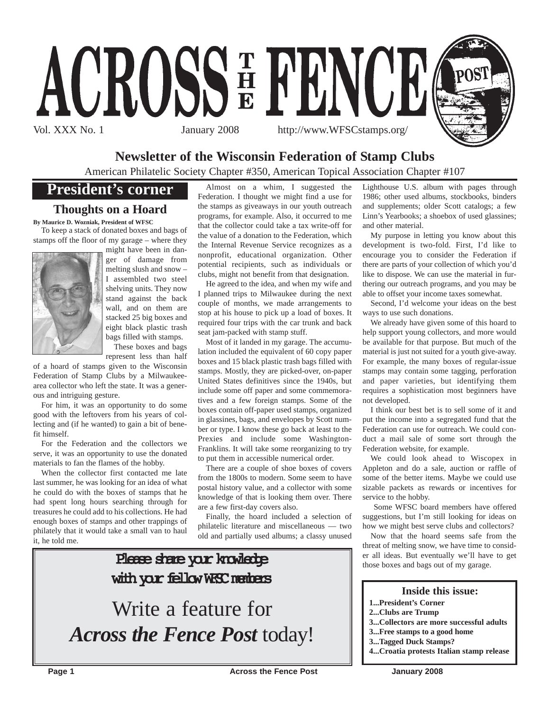

# **Newsletter of the Wisconsin Federation of Stamp Clubs**

American Philatelic Society Chapter #350, American Topical Association Chapter #107

# **President's corner**

# **Thoughts on a Hoard**

**By Maurice D. Wozniak, President of WFSC**

To keep a stack of donated boxes and bags of stamps off the floor of my garage – where they



might have been in danger of damage from melting slush and snow – I assembled two steel shelving units. They now stand against the back wall, and on them are stacked 25 big boxes and eight black plastic trash bags filled with stamps.

These boxes and bags represent less than half

of a hoard of stamps given to the Wisconsin Federation of Stamp Clubs by a Milwaukeearea collector who left the state. It was a generous and intriguing gesture.

For him, it was an opportunity to do some good with the leftovers from his years of collecting and (if he wanted) to gain a bit of benefit himself.

For the Federation and the collectors we serve, it was an opportunity to use the donated materials to fan the flames of the hobby.

When the collector first contacted me late last summer, he was looking for an idea of what he could do with the boxes of stamps that he had spent long hours searching through for treasures he could add to his collections. He had enough boxes of stamps and other trappings of philately that it would take a small van to haul it, he told me.

Almost on a whim, I suggested the Federation. I thought we might find a use for the stamps as giveaways in our youth outreach programs, for example. Also, it occurred to me that the collector could take a tax write-off for the value of a donation to the Federation, which the Internal Revenue Service recognizes as a nonprofit, educational organization. Other potential recipients, such as individuals or clubs, might not benefit from that designation.

He agreed to the idea, and when my wife and I planned trips to Milwaukee during the next couple of months, we made arrangements to stop at his house to pick up a load of boxes. It required four trips with the car trunk and back seat jam-packed with stamp stuff.

Most of it landed in my garage. The accumulation included the equivalent of 60 copy paper boxes and 15 black plastic trash bags filled with stamps. Mostly, they are picked-over, on-paper United States definitives since the 1940s, but include some off paper and some commemoratives and a few foreign stamps. Some of the boxes contain off-paper used stamps, organized in glassines, bags, and envelopes by Scott number or type. I know these go back at least to the Prexies and include some Washington-Franklins. It will take some reorganizing to try to put them in accessible numerical order.

There are a couple of shoe boxes of covers from the 1800s to modern. Some seem to have postal history value, and a collector with some knowledge of that is looking them over. There are a few first-day covers also.

Finally, the hoard included a selection of philatelic literature and miscellaneous — two old and partially used albums; a classy unused

# Please share your knowledge with your fellow WFSC members Write a feature for *Across the Fence Post* today!

Lighthouse U.S. album with pages through 1986; other used albums, stockbooks, binders and supplements; older Scott catalogs; a few Linn's Yearbooks; a shoebox of used glassines; and other material.

My purpose in letting you know about this development is two-fold. First, I'd like to encourage you to consider the Federation if there are parts of your collection of which you'd like to dispose. We can use the material in furthering our outreach programs, and you may be able to offset your income taxes somewhat.

Second, I'd welcome your ideas on the best ways to use such donations.

We already have given some of this hoard to help support young collectors, and more would be available for that purpose. But much of the material is just not suited for a youth give-away. For example, the many boxes of regular-issue stamps may contain some tagging, perforation and paper varieties, but identifying them requires a sophistication most beginners have not developed.

I think our best bet is to sell some of it and put the income into a segregated fund that the Federation can use for outreach. We could conduct a mail sale of some sort through the Federation website, for example.

We could look ahead to Wiscopex in Appleton and do a sale, auction or raffle of some of the better items. Maybe we could use sizable packets as rewards or incentives for service to the hobby.

Some WFSC board members have offered suggestions, but I'm still looking for ideas on how we might best serve clubs and collectors?

Now that the hoard seems safe from the threat of melting snow, we have time to consider all ideas. But eventually we'll have to get those boxes and bags out of my garage.

#### **Inside this issue:**

- **1...President's Corner**
- **2...Clubs are Trump**
- **3...Collectors are more successful adults**
- **3...Free stamps to a good home**
- **3...Tagged Duck Stamps?**
- **4...Croatia protests Italian stamp release**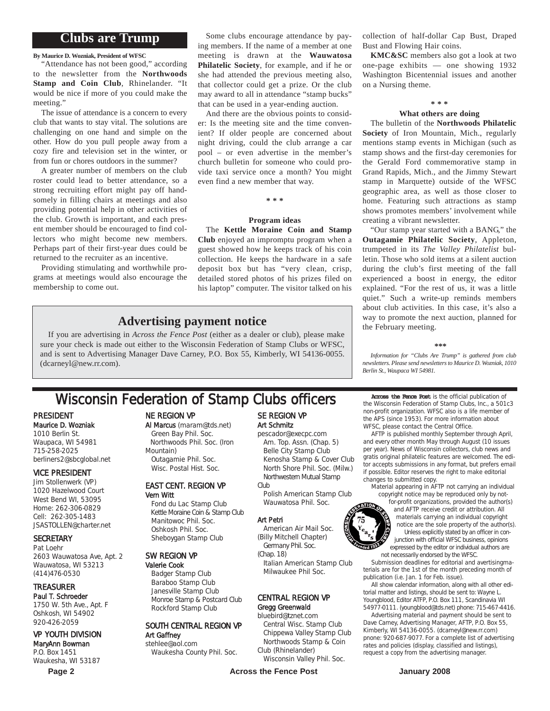## **Clubs are Trump**

**By Maurice D. Wozniak, President of WFSC**

"Attendance has not been good," according to the newsletter from the **Northwoods Stamp and Coin Club**, Rhinelander. "It would be nice if more of you could make the meeting."

The issue of attendance is a concern to every club that wants to stay vital. The solutions are challenging on one hand and simple on the other. How do you pull people away from a cozy fire and television set in the winter, or from fun or chores outdoors in the summer?

A greater number of members on the club roster could lead to better attendance, so a strong recruiting effort might pay off handsomely in filling chairs at meetings and also providing potential help in other activities of the club. Growth is important, and each present member should be encouraged to find collectors who might become new members. Perhaps part of their first-year dues could be returned to the recruiter as an incentive.

Providing stimulating and worthwhile programs at meetings would also encourage the membership to come out.

Some clubs encourage attendance by paying members. If the name of a member at one meeting is drawn at the **Wauwatosa Philatelic Society**, for example, and if he or she had attended the previous meeting also, that collector could get a prize. Or the club may award to all in attendance "stamp bucks" that can be used in a year-ending auction.

And there are the obvious points to consider: Is the meeting site and the time convenient? If older people are concerned about night driving, could the club arrange a car pool – or even advertise in the member's church bulletin for someone who could provide taxi service once a month? You might even find a new member that way.

**\* \* \***

#### **Program ideas**

The **Kettle Moraine Coin and Stamp Club** enjoyed an impromptu program when a guest showed how he keeps track of his coin collection. He keeps the hardware in a safe deposit box but has "very clean, crisp, detailed stored photos of his prizes filed on his laptop" computer. The visitor talked on his

### **Advertising payment notice**

If you are advertising in *Across the Fence Post* (either as a dealer or club), please make sure your check is made out either to the Wisconsin Federation of Stamp Clubs or WFSC, and is sent to Advertising Manager Dave Carney, P.O. Box 55, Kimberly, WI 54136-0055. (dcarneyl@new.rr.com).

# Wisconsin Federation of Stamp Clubs officers Across the Fence Post is the official publication of Stamp Clubs, Inc., a 5010

#### PRESIDENT Maurice D. Wozniak

1010 Berlin St. Waupaca, WI 54981 715-258-2025 berliners2@sbcglobal.net

#### VICE PRESIDENT

Jim Stollenwerk (VP) 1020 Hazelwood Court West Bend WI, 53095 Home: 262-306-0829 Cell: 262-305-1483 JSASTOLLEN@charter.net

#### **SECRETARY**

Pat Loehr 2603 Wauwatosa Ave, Apt. 2 Wauwatosa, WI 53213 (414)476-0530

#### TREASURER

Paul T. Schroeder 1750 W. 5th Ave., Apt. F Oshkosh, WI 54902 920-426-2059

### VP YOUTH DIVISION

MaryAnn Bowman P.O. Box 1451 Waukesha, WI 53187

#### NE REGION VP

#### Al Marcus (maram@tds.net) Green Bay Phil. Soc.

Northwoods Phil. Soc. (Iron Mountain) Outagamie Phil. Soc. Wisc. Postal Hist. Soc.

#### EAST CENT. REGION VP Vern Witt

Fond du Lac Stamp Club Kettle Moraine Coin & Stamp Club Manitowoc Phil. Soc. Oshkosh Phil. Soc. Sheboygan Stamp Club

#### SW REGION VP

Valerie Cook Badger Stamp Club Baraboo Stamp Club Janesville Stamp Club Monroe Stamp & Postcard Club Rockford Stamp Club

#### SOUTH CENTRAL REGION VP Art Gaffney

stehlee@aol.com Waukesha County Phil. Soc.

### SE REGION VP Art Schmitz

pescador@execpc.com Am. Top. Assn. (Chap. 5) Belle City Stamp Club Kenosha Stamp & Cover Club North Shore Phil. Soc. (Milw.) Northwestern Mutual Stamp Club

Polish American Stamp Club Wauwatosa Phil. Soc.

#### Art Petri

- American Air Mail Soc. (Billy Mitchell Chapter) Germany Phil. Soc.
- (Chap. 18)

Italian American Stamp Club Milwaukee Phil Soc.

#### CENTRAL REGION VP Gregg Greenwald

#### bluebird@tznet.com

Central Wisc. Stamp Club Chippewa Valley Stamp Club Northwoods Stamp & Coin Club (Rhinelander)

Wisconsin Valley Phil. Soc.

**Page 2** Across the Fence Post **Across 1** Across the Fence Post **Across 1** 

collection of half-dollar Cap Bust, Draped Bust and Flowing Hair coins.

**KMC&SC** members also got a look at two one-page exhibits — one showing 1932 Washington Bicentennial issues and another on a Nursing theme.

#### **\* \* \***

#### **What others are doing**

The bulletin of the **Northwoods Philatelic Society** of Iron Mountain, Mich., regularly mentions stamp events in Michigan (such as stamp shows and the first-day ceremonies for the Gerald Ford commemorative stamp in Grand Rapids, Mich., and the Jimmy Stewart stamp in Marquette) outside of the WFSC geographic area, as well as those closer to home. Featuring such attractions as stamp shows promotes members' involvement while creating a vibrant newsletter.

"Our stamp year started with a BANG," the **Outagamie Philatelic Society**, Appleton, trumpeted in its *The Valley Philatelist* bulletin. Those who sold items at a silent auction during the club's first meeting of the fall experienced a boost in energy, the editor explained. "For the rest of us, it was a little quiet." Such a write-up reminds members about club activities. In this case, it's also a way to promote the next auction, planned for the February meeting.

#### **\*\*\***

*Information for "Clubs Are Trump" is gathered from club newsletters. Please send newsletters to Maurice D. Wozniak, 1010 Berlin St., Waupaca WI 54981.*

the Wisconsin Federation of Stamp Clubs, Inc., a 501c3 non-profit organization. WFSC also is a life member of the APS (since 1953). For more information about WFSC, please contact the Central Office.

AFTP is published monthly September through April, and every other month May through August (10 issues per year). News of Wisconsin collectors, club news and gratis original philatelic features are welcomed. The editor accepts submissions in any format, but prefers email if possible. Editor reserves the right to make editorial changes to submitted copy.

Material appearing in AFTP not carrying an individual copyright notice may be reproduced only by not-

for-profit organizations, provided the author(s) and AFTP receive credit or attribution. All materials carrying an individual copyright notice are the sole property of the author(s). Unless explicitly stated by an officer in conjunction with official WFSC business, opinions expressed by the editor or individual authors are not necessarily endorsed by the WFSC.

Submission deadlines for editorial and avertisingmaterials are for the 1st of the month preceding month of publication (i.e. Jan. 1 for Feb. issue).

All show calendar information, along with all other editorial matter and listings, should be sent to: Wayne L. Youngblood, Editor ATFP, P.O. Box 111, Scandinavia WI 54977-0111. (youngblood@tds.net) phone: 715-467-4416.

Advertising material and payment should be sent to Dave Carney, Advertising Manager, AFTP, P.O. Box 55, Kimberly, WI 54136-0055. (dcarneyl@new.rr.com) pnone: 920-687-9077. For a complete list of advertising rates and policies (display, classified and listings), request a copy from the advertising manager.

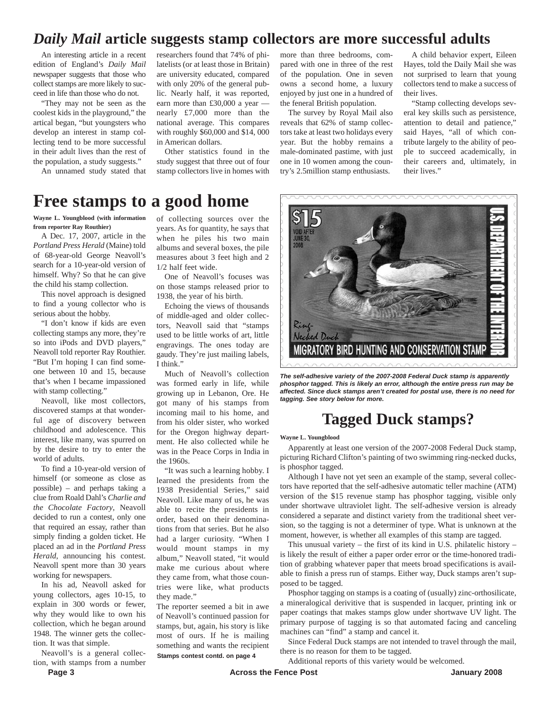# *Daily Mail* **article suggests stamp collectors are more successful adults**

An interesting article in a recent edition of England's *Daily Mail* newspaper suggests that those who collect stamps are more likely to succeed in life than those who do not.

"They may not be seen as the coolest kids in the playground," the artical began, "but youngsters who develop an interest in stamp collecting tend to be more successful in their adult lives than the rest of the population, a study suggests."

An unnamed study stated that

researchers found that 74% of philatelists (or at least those in Britain) are university educated, compared with only 20% of the general public. Nearly half, it was reported, earn more than £30,000 a year nearly £7,000 more than the national average. This compares with roughly \$60,000 and \$14, 000 in American dollars.

Other statistics found in the study suggest that three out of four stamp collectors live in homes with

more than three bedrooms, compared with one in three of the rest of the population. One in seven owns a second home, a luxury enjoyed by just one in a hundred of the feneral British population.

The survey by Royal Mail also reveals that 62% of stamp collectors take at least two holidays every year. But the hobby remains a male-dominated pastime, with just one in 10 women among the country's 2.5million stamp enthusiasts.

A child behavior expert, Eileen Hayes, told the Daily Mail she was not surprised to learn that young collectors tend to make a success of their lives.

"Stamp collecting develops several key skills such as persistence, attention to detail and patience," said Hayes, "all of which contribute largely to the ability of people to succeed academically, in their careers and, ultimately, in their lives."

# **Free stamps to a good home**

**Wayne L. Youngblood (with information from reporter Ray Routhier)**

A Dec. 17, 2007, article in the *Portland Press Herald* (Maine) told of 68-year-old George Neavoll's search for a 10-year-old version of himself. Why? So that he can give the child his stamp collection.

This novel approach is designed to find a young collector who is serious about the hobby.

"I don't know if kids are even collecting stamps any more, they're so into iPods and DVD players," Neavoll told reporter Ray Routhier. "But I'm hoping I can find someone between 10 and 15, because that's when I became impassioned with stamp collecting."

Neavoll, like most collectors, discovered stamps at that wonderful age of discovery between childhood and adolescence. This interest, like many, was spurred on by the desire to try to enter the world of adults.

To find a 10-year-old version of himself (or someone as close as possible) – and perhaps taking a clue from Roald Dahl's *Charlie and the Chocolate Factory*, Neavoll decided to run a contest, only one that required an essay, rather than simply finding a golden ticket. He placed an ad in the *Portland Press Herald*, announcing his contest. Neavoll spent more than 30 years working for newspapers.

In his ad, Neavoll asked for young collectors, ages 10-15, to explain in 300 words or fewer, why they would like to own his collection, which he began around 1948. The winner gets the collection. It was that simple.

Neavoll's is a general collection, with stamps from a number of collecting sources over the years. As for quantity, he says that when he piles his two main albums and several boxes, the pile measures about 3 feet high and 2 1/2 half feet wide.

One of Neavoll's focuses was on those stamps released prior to 1938, the year of his birth.

Echoing the views of thousands of middle-aged and older collectors, Neavoll said that "stamps used to be little works of art, little engravings. The ones today are gaudy. They're just mailing labels, I think."

Much of Neavoll's collection was formed early in life, while growing up in Lebanon, Ore. He got many of his stamps from incoming mail to his home, and from his older sister, who worked for the Oregon highway department. He also collected while he was in the Peace Corps in India in the 1960s.

"It was such a learning hobby. I learned the presidents from the 1938 Presidential Series," said Neavoll. Like many of us, he was able to recite the presidents in order, based on their denominations from that series. But he also had a larger curiosity. "When I would mount stamps in my album," Neavoll stated, "it would make me curious about where they came from, what those countries were like, what products they made."

The reporter seemed a bit in awe of Neavoll's continued passion for stamps, but, again, his story is like most of ours. If he is mailing something and wants the recipient **Stamps contest contd. on page 4**



*The self-adhesive variety of the 2007-2008 Federal Duck stamp is apparently phosphor tagged. This is likely an error, although the entire press run may be affected. Since duck stamps aren't created for postal use, there is no need for tagging. See story below for more.*

# **Tagged Duck stamps?**

#### **Wayne L. Youngblood**

Apparently at least one version of the 2007-2008 Federal Duck stamp, picturing Richard Clifton's painting of two swimming ring-necked ducks, is phosphor tagged.

Although I have not yet seen an example of the stamp, several collectors have reported that the self-adhesive automatic teller machine (ATM) version of the \$15 revenue stamp has phosphor tagging, visible only under shortwave ultraviolet light. The self-adhesive version is already considered a separate and distinct variety from the traditional sheet version, so the tagging is not a determiner of type. What is unknown at the moment, however, is whether all examples of this stamp are tagged.

This unusual variety – the first of its kind in U.S. philatelic history – is likely the result of either a paper order error or the time-honored tradition of grabbing whatever paper that meets broad specifications is available to finish a press run of stamps. Either way, Duck stamps aren't supposed to be tagged.

Phosphor tagging on stamps is a coating of (usually) zinc-orthosilicate, a mineralogical derivitive that is suspended in lacquer, printing ink or paper coatings that makes stamps glow under shortwave UV light. The primary purpose of tagging is so that automated facing and canceling machines can "find" a stamp and cancel it.

Since Federal Duck stamps are not intended to travel through the mail, there is no reason for them to be tagged.

Additional reports of this variety would be welcomed.